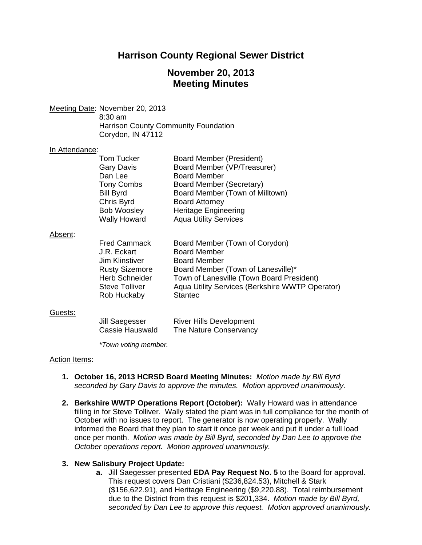# **Harrison County Regional Sewer District**

# **November 20, 2013 Meeting Minutes**

Meeting Date: November 20, 2013

 8:30 am Harrison County Community Foundation Corydon, IN 47112

#### In Attendance:

|      | <b>Tom Tucker</b>   | <b>Board Member (President)</b> |
|------|---------------------|---------------------------------|
|      | <b>Gary Davis</b>   | Board Member (VP/Treasurer)     |
|      | Dan Lee             | <b>Board Member</b>             |
|      | <b>Tony Combs</b>   | Board Member (Secretary)        |
|      | <b>Bill Byrd</b>    | Board Member (Town of Milltown) |
|      | Chris Byrd          | <b>Board Attorney</b>           |
|      | <b>Bob Woosley</b>  | <b>Heritage Engineering</b>     |
|      | <b>Wally Howard</b> | <b>Aqua Utility Services</b>    |
|      |                     |                                 |
| ent: |                     |                                 |

#### Abse

| <b>Fred Cammack</b>   | Board Member (Town of Corydon)                  |
|-----------------------|-------------------------------------------------|
| J.R. Eckart           | <b>Board Member</b>                             |
| Jim Klinstiver        | <b>Board Member</b>                             |
| <b>Rusty Sizemore</b> | Board Member (Town of Lanesville)*              |
| <b>Herb Schneider</b> | Town of Lanesville (Town Board President)       |
| <b>Steve Tolliver</b> | Aqua Utility Services (Berkshire WWTP Operator) |
| Rob Huckaby           | <b>Stantec</b>                                  |

#### Guests:

| Jill Saegesser  | <b>River Hills Development</b> |
|-----------------|--------------------------------|
| Cassie Hauswald | The Nature Conservancy         |

 *\*Town voting member.* 

## Action Items:

- **1. October 16, 2013 HCRSD Board Meeting Minutes:** *Motion made by Bill Byrd seconded by Gary Davis to approve the minutes. Motion approved unanimously.*
- **2. Berkshire WWTP Operations Report (October):** Wally Howard was in attendance filling in for Steve Tolliver. Wally stated the plant was in full compliance for the month of October with no issues to report. The generator is now operating properly. Wally informed the Board that they plan to start it once per week and put it under a full load once per month. *Motion was made by Bill Byrd, seconded by Dan Lee to approve the October operations report. Motion approved unanimously.*

## **3. New Salisbury Project Update:**

**a.** Jill Saegesser presented **EDA Pay Request No. 5** to the Board for approval. This request covers Dan Cristiani (\$236,824.53), Mitchell & Stark (\$156,622.91), and Heritage Engineering (\$9,220.88). Total reimbursement due to the District from this request is \$201,334. *Motion made by Bill Byrd, seconded by Dan Lee to approve this request. Motion approved unanimously.*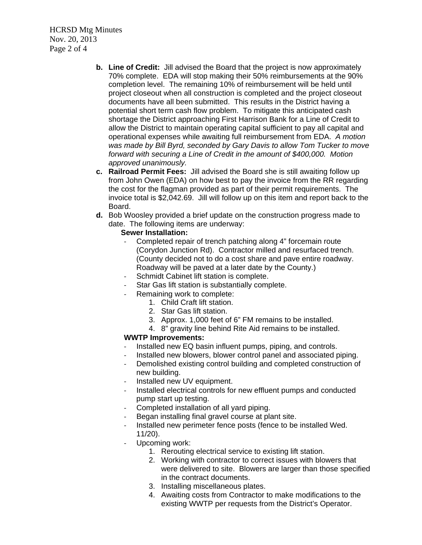HCRSD Mtg Minutes Nov. 20, 2013 Page 2 of 4

- **b. Line of Credit:** Jill advised the Board that the project is now approximately 70% complete. EDA will stop making their 50% reimbursements at the 90% completion level. The remaining 10% of reimbursement will be held until project closeout when all construction is completed and the project closeout documents have all been submitted. This results in the District having a potential short term cash flow problem. To mitigate this anticipated cash shortage the District approaching First Harrison Bank for a Line of Credit to allow the District to maintain operating capital sufficient to pay all capital and operational expenses while awaiting full reimbursement from EDA. *A motion was made by Bill Byrd, seconded by Gary Davis to allow Tom Tucker to move forward with securing a Line of Credit in the amount of \$400,000. Motion approved unanimously.*
- **c. Railroad Permit Fees:**Jill advised the Board she is still awaiting follow up from John Owen (EDA) on how best to pay the invoice from the RR regarding the cost for the flagman provided as part of their permit requirements. The invoice total is \$2,042.69. Jill will follow up on this item and report back to the Board.
- **d.** Bob Woosley provided a brief update on the construction progress made to date. The following items are underway:

### **Sewer Installation:**

- ‐ Completed repair of trench patching along 4" forcemain route (Corydon Junction Rd). Contractor milled and resurfaced trench. (County decided not to do a cost share and pave entire roadway. Roadway will be paved at a later date by the County.)
- Schmidt Cabinet lift station is complete.
- Star Gas lift station is substantially complete.
- ‐ Remaining work to complete:
	- 1. Child Craft lift station.
	- 2. Star Gas lift station.
	- 3. Approx. 1,000 feet of 6" FM remains to be installed.
	- 4. 8" gravity line behind Rite Aid remains to be installed.

## **WWTP Improvements:**

- ‐ Installed new EQ basin influent pumps, piping, and controls.
- Installed new blowers, blower control panel and associated piping.
- Demolished existing control building and completed construction of new building.
- ‐ Installed new UV equipment.
- ‐ Installed electrical controls for new effluent pumps and conducted pump start up testing.
- ‐ Completed installation of all yard piping.
- ‐ Began installing final gravel course at plant site.
- Installed new perimeter fence posts (fence to be installed Wed. 11/20).
- Upcoming work:
	- 1. Rerouting electrical service to existing lift station.
	- 2. Working with contractor to correct issues with blowers that were delivered to site. Blowers are larger than those specified in the contract documents.
	- 3. Installing miscellaneous plates.
	- 4. Awaiting costs from Contractor to make modifications to the existing WWTP per requests from the District's Operator.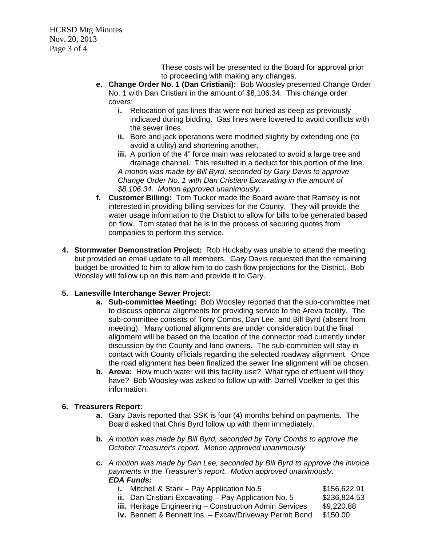HCRSD Mtg Minutes Nov. 20, 2013 Page 3 of 4

> These costs will be presented to the Board for approval prior to proceeding with making any changes.

- **e. Change Order No. 1 (Dan Cristiani):** Bob Woosley presented Change Order No. 1 with Dan Cristiani in the amount of \$8,106.34. This change order covers:
	- **i.** Relocation of gas lines that were not buried as deep as previously indicated during bidding. Gas lines were lowered to avoid conflicts with the sewer lines.
	- **ii.** Bore and jack operations were modified slightly by extending one (to avoid a utility) and shortening another.
	- **iii.** A portion of the 4" force main was relocated to avoid a large tree and drainage channel. This resulted in a deduct for this portion of the line. *A motion was made by Bill Byrd, seconded by Gary Davis to approve Change Order No. 1 with Dan Cristiani Excavating in the amount of \$8,106.34. Motion approved unanimously.*
- **f. Customer Billing:** Tom Tucker made the Board aware that Ramsey is not interested in providing billing services for the County. They will provide the water usage information to the District to allow for bills to be generated based on flow. Tom stated that he is in the process of securing quotes from companies to perform this service.
- **4. Stormwater Demonstration Project:**Rob Huckaby was unable to attend the meeting but provided an email update to all members. Gary Davis requested that the remaining budget be provided to him to allow him to do cash flow projections for the District. Bob Woosley will follow up on this item and provide it to Gary.

## **5. Lanesville Interchange Sewer Project:**

- **a. Sub-committee Meeting:** Bob Woosley reported that the sub-committee met to discuss optional alignments for providing service to the Areva facility. The sub-committee consists of Tony Combs, Dan Lee, and Bill Byrd (absent from meeting). Many optional alignments are under consideration but the final alignment will be based on the location of the connector road currently under discussion by the County and land owners. The sub-committee will stay in contact with County officials regarding the selected roadway alignment. Once the road alignment has been finalized the sewer line alignment will be chosen.
- **b. Areva:** How much water will this facility use? What type of effluent will they have? Bob Woosley was asked to follow up with Darrell Voelker to get this information.

## **6. Treasurers Report:**

- **a.** Gary Davis reported that SSK is four (4) months behind on payments. The Board asked that Chris Byrd follow up with them immediately.
- **b.** *A motion was made by Bill Byrd, seconded by Tony Combs to approve the October Treasurer's report. Motion approved unanimously.*
- **c.** *A motion was made by Dan Lee, seconded by Bill Byrd to approve the invoice payments in the Treasurer's report. Motion approved unanimously. EDA Funds:* 
	- **i.** Mitchell & Stark Pay Application No.5 \$156,622.91 **ii.** Dan Cristiani Excavating – Pay Application No. 5 \$236,824.53 **iii.** Heritage Engineering – Construction Admin Services \$9,220.88
	- **iv.** Bennett & Bennett Ins. Excav/Driveway Permit Bond \$150.00